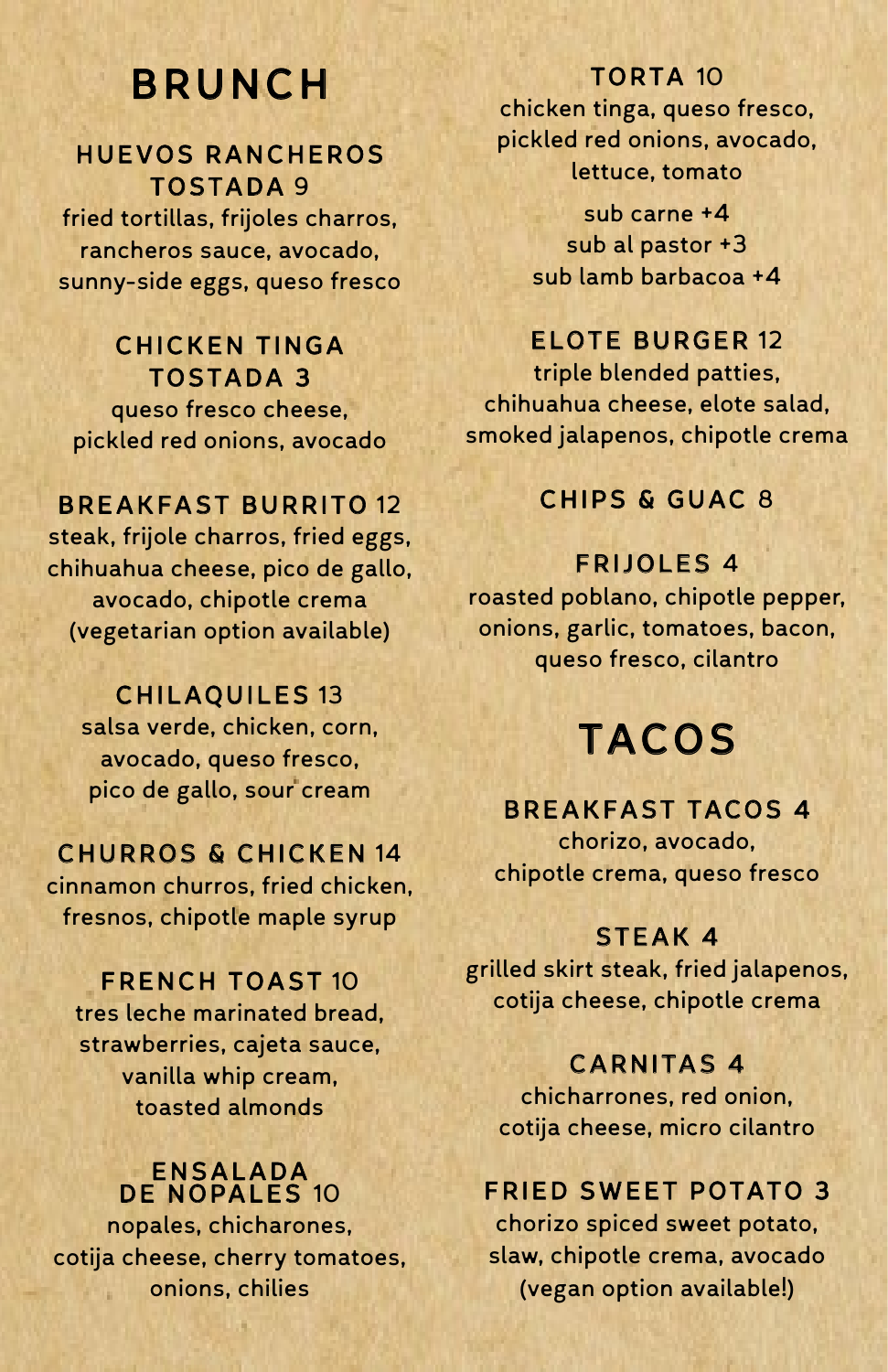## BRUNCH

### HUEVOS RANCHEROS TOSTADA 9

fried tortillas, frijoles charros, rancheros sauce, avocado, sunny-side eggs, queso fresco

## CHICKEN TINGA TOSTADA 3

queso fresco cheese, pickled red onions, avocado

## BREAKFAST BURRITO 12

steak, frijole charros, fried eggs, chihuahua cheese, pico de gallo, avocado, chipotle crema (vegetarian option available)

### CHILAQUILES 13

salsa verde, chicken, corn, avocado, queso fresco, pico de gallo, sour cream

### CHURROS & CHICKEN 14

cinnamon churros, fried chicken, fresnos, chipotle maple syrup

#### FRENCH TOAST 10

tres leche marinated bread, strawberries, cajeta sauce, vanilla whip cream, toasted almonds

#### ENSALADA DE NOPALES 10

nopales, chicharones, cotija cheese, cherry tomatoes, onions, chilies

#### TORTA 10

chicken tinga, queso fresco, pickled red onions, avocado, lettuce, tomato

> sub carne +4 sub al pastor +3 sub lamb barbacoa +4

## ELOTE BURGER 12

triple blended patties, chihuahua cheese, elote salad, smoked jalapenos, chipotle crema

### CHIPS & GUAC 8

#### FRIJOLES 4

roasted poblano, chipotle pepper, onions, garlic, tomatoes, bacon, queso fresco, cilantro

# TACOS

## BREAKFAST TACOS 4

chorizo, avocado, chipotle crema, queso fresco

#### STEAK 4

grilled skirt steak, fried jalapenos, cotija cheese, chipotle crema

### CARNITAS 4

chicharrones, red onion, cotija cheese, micro cilantro

## FRIED SWEET POTATO 3

chorizo spiced sweet potato, slaw, chipotle crema, avocado (vegan option available!)